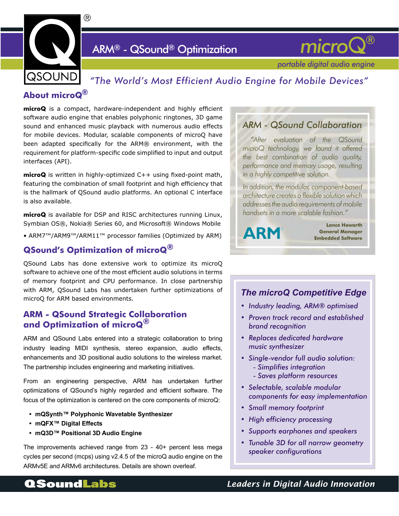

# ARM® - QSound® Optimization



 *portable digital audio engine*

# *"The World's Most Efficient Audio Engine for Mobile Devices"*

## **About microQ®**

**microQ** is a compact, hardware-independent and highly efficient software audio engine that enables polyphonic ringtones, 3D game sound and enhanced music playback with numerous audio effects for mobile devices. Modular, scalable components of microQ have been adapted specifically for the ARM® environment, with the requirement for platform-specific code simplified to input and output interfaces (API).

**microQ** is written in highly-optimized C++ using fixed-point math, featuring the combination of small footprint and high efficiency that is the hallmark of QSound audio platforms. An optional C interface is also available.

**microQ** is available for DSP and RISC architectures running Linux, Symbian OS®, Nokia® Series 60, and Microsoft® Windows Mobile

• ARM7™/ARM9™/ARM11™ processor families (Optimized by ARM)

### **QSound's Optimization of microQ®**

QSound Labs has done extensive work to optimize its microQ software to achieve one of the most efficient audio solutions in terms of memory footprint and CPU performance. In close partnership with ARM, QSound Labs has undertaken further optimizations of microQ for ARM based environments.

### **ARM - QSound Strategic Collaboration and Optimization of microQ®**

ARM and QSound Labs entered into a strategic collaboration to bring industry leading MIDI synthesis, stereo expansion, audio effects, enhancements and 3D positional audio solutions to the wireless market. The partnership includes engineering and marketing initiatives.

From an engineering perspective, ARM has undertaken further optimizations of QSound's highly regarded and efficient software. The focus of the optimization is centered on the core components of microQ:

- **• mQSynth™ Polyphonic Wavetable Synthesizer**
- **• mQFX™ Digital Effects**
- **• mQ3D™ Positional 3D Audio Engine**

The improvements achieved range from 23 - 40+ percent less mega cycles per second (mcps) using v2.4.5 of the microQ audio engine on the ARMv5E and ARMv6 architectures. Details are shown overleaf.

# *ARM - QSound Collaboration*

*"After evaluation of the QSound microQ technology, we found it offered the best combination of audio quality, performance and memory usage, resulting in a highly competitive solution.*

*In addition, the modular, component-based architecture creates a flexible solution which addresses the audio requirements of mobile handsets in a more scalable fashion."*

**Lance Howarth ARM** General Manager  **Embedded Software** 

### *The microQ Competitive Edge*

- *Industry leading, ARM® optimised •*
- *Proven track record and established • brand recognition*
- *Replaces dedicated hardware • music synthesizer*
- *Single-vendor full audio solution: •*
	- *Simplifies integration*
	- *Saves platform resources*
- *Selectable, scalable modular • components for easy implementation*
- *Small memory footprint •*
- High efficiency processing
- *Supports earphones and speakers •*
- *Tunable 3D for all narrow geometry • speaker configurations*